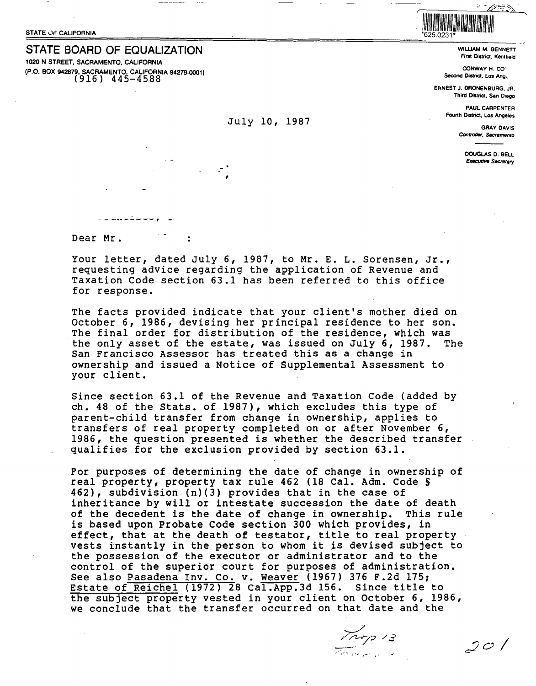STATE BOARD OF EQUALIZATION **1020 N** STREET, **SACRAMENTO, CALIFORNIA (P.O. BOX 942879, SACRAMENTO. CALIFORNIA 94279-0001)**  (916) 445-4588

## July 10, 1987

,

WILLIAM **M.** BENNETT First District, Kentfield . I \_ \_;

 $\mathscr{D}^{\pm}$  ).

~

**CONWAY H. CO<sup>\*</sup> Second District,** Los Ang,

IIIIII IIIII IIIII IIIIIIIIII IIIII IIIII IIIII IIIIIIII

*I* 

EflNEST J. ORONENBURG. JR. Third **District,** San Diego

> **PAUL** CARPENTER Fourth District, Los Angeles

> > GRAY DAVIS *Centro/Jar.* **s«cramento**

> > > **DOUGLAS** 0. BELL **Executive Secretary**

---··-----, -

Dear Mr.

Your letter, dated July 6, 1987, to Mr. E. L. Sorensen, Jr., requesting advice regarding the application of Revenue and Taxation Code section 63.1 has been referred to this office for response.

The facts provided indicate that your client's mother died on October 6, 1986, devising her principal residence to her son. The final order for distribution of the residence, which was<br>the only asset of the estate, was issued on July 6, 1987. The the only asset of the estate, was issued on July 6, 1987. San Francisco Assessor has treated this as a change in ownership and issued a Notice of Supplemental Assessment to your client.

Since section 63.1 of the Revenue and Taxation Code (added by ch. 48 of the Stats. of 1987), which excludes this type of parent-child transfer from change in ownership, applies to transfers of real property completed on or after November 6, 1986, the question presented is whether the described transfer qualifies for the exclusion provided by section 63.1.

For purposes of determining the date of change in ownership of real property, property tax rule 462 (18 Cal. Adm. Code§ 462), subdivision (n)(3) provides that in the case of inheritance by will or intestate succession the date of death of the decedent is the date of change in ownership. This rule is based upon Probate Code section 300 which provides, in effect, that at the death of testator, title to real property vests instantly in the person to whom it is devised subject to the possession of the executor or administrator and to the control of the superior court for purposes of administration. See also Pasadena Inv. Co. v. Weaver (1967) 376 F.2d 175; Estate of Reichel (1972) 28 Cal.App.3d 156. Since title to the subject property vested in your client on October 6, 1986, we conclude that the transfer occurred on that date and the

, 4,...:- *:•.,.* .. -·